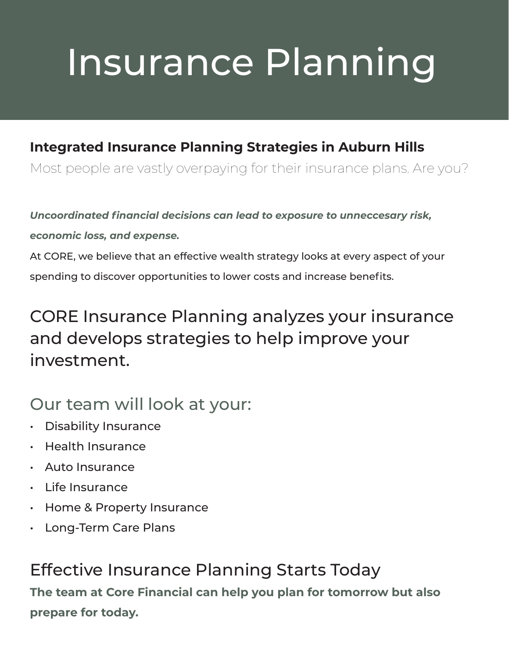# Insurance Planning

#### **Integrated Insurance Planning Strategies in Auburn Hills**

Most people are vastly overpaying for their insurance plans. Are you?

*Uncoordinated financial decisions can lead to exposure to unneccesary risk,* 

*economic loss, and expense.*

At CORE, we believe that an effective wealth strategy looks at every aspect of your spending to discover opportunities to lower costs and increase benefits.

### CORE Insurance Planning analyzes your insurance and develops strategies to help improve your investment.

### Our team will look at your:

- Disability Insurance
- Health Insurance
- Auto Insurance
- Life Insurance
- Home & Property Insurance
- Long-Term Care Plans

Effective Insurance Planning Starts Today **The team at Core Financial can help you plan for tomorrow but also prepare for today.**